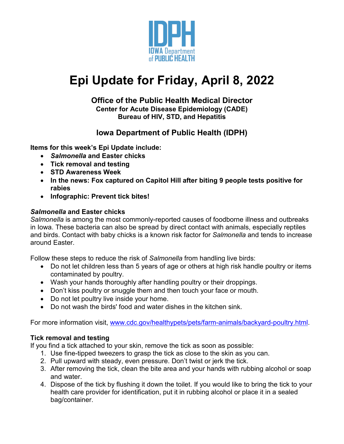

# **Epi Update for Friday, April 8, 2022**

#### **Office of the Public Health Medical Director Center for Acute Disease Epidemiology (CADE) Bureau of HIV, STD, and Hepatitis**

## **Iowa Department of Public Health (IDPH)**

**Items for this week's Epi Update include:**

- *Salmonella* **and Easter chicks**
- **Tick removal and testing**
- **STD Awareness Week**
- **In the news: Fox captured on Capitol Hill after biting 9 people tests positive for rabies**
- **Infographic: Prevent tick bites!**

## *Salmonella* **and Easter chicks**

*Salmonella* is among the most commonly-reported causes of foodborne illness and outbreaks in Iowa. These bacteria can also be spread by direct contact with animals, especially reptiles and birds. Contact with baby chicks is a known risk factor for *Salmonella* and tends to increase around Easter.

Follow these steps to reduce the risk of *Salmonella* from handling live birds:

- Do not let children less than 5 years of age or others at high risk handle poultry or items contaminated by poultry.
- Wash your hands thoroughly after handling poultry or their droppings.
- Don't kiss poultry or snuggle them and then touch your face or mouth.
- Do not let poultry live inside your home.
- Do not wash the birds' food and water dishes in the kitchen sink.

For more information visit, [www.cdc.gov/healthypets/pets/farm-animals/backyard-poultry.html.](http://www.cdc.gov/healthypets/pets/farm-animals/backyard-poultry.html)

### **Tick removal and testing**

If you find a tick attached to your skin, remove the tick as soon as possible:

- 1. Use fine-tipped tweezers to grasp the tick as close to the skin as you can.
- 2. Pull upward with steady, even pressure. Don't twist or jerk the tick.
- 3. After removing the tick, clean the bite area and your hands with rubbing alcohol or soap and water.
- 4. Dispose of the tick by flushing it down the toilet. If you would like to bring the tick to your health care provider for identification, put it in rubbing alcohol or place it in a sealed bag/container.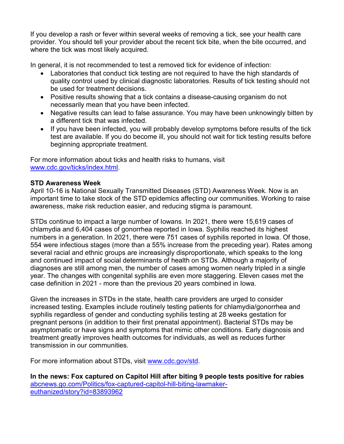If you develop a rash or fever within several weeks of removing a tick, see your health care provider. You should tell your provider about the recent tick bite, when the bite occurred, and where the tick was most likely acquired.

In general, it is not recommended to test a removed tick for evidence of infection:

- Laboratories that conduct tick testing are not required to have the high standards of quality control used by clinical diagnostic laboratories. Results of tick testing should not be used for treatment decisions.
- Positive results showing that a tick contains a disease-causing organism do not necessarily mean that you have been infected.
- Negative results can lead to false assurance. You may have been unknowingly bitten by a different tick that was infected.
- If you have been infected, you will probably develop symptoms before results of the tick test are available. If you do become ill, you should not wait for tick testing results before beginning appropriate treatment.

For more information about ticks and health risks to humans, visit [www.cdc.gov/ticks/index.html.](http://www.cdc.gov/ticks/index.html)

#### **STD Awareness Week**

April 10-16 is National Sexually Transmitted Diseases (STD) Awareness Week. Now is an important time to take stock of the STD epidemics affecting our communities. Working to raise awareness, make risk reduction easier, and reducing stigma is paramount.

STDs continue to impact a large number of Iowans. In 2021, there were 15,619 cases of chlamydia and 6,404 cases of gonorrhea reported in Iowa. Syphilis reached its highest numbers in a generation. In 2021, there were 751 cases of syphilis reported in Iowa. Of those, 554 were infectious stages (more than a 55% increase from the preceding year). Rates among several racial and ethnic groups are increasingly disproportionate, which speaks to the long and continued impact of social determinants of health on STDs. Although a majority of diagnoses are still among men, the number of cases among women nearly tripled in a single year. The changes with congenital syphilis are even more staggering. Eleven cases met the case definition in 2021 - more than the previous 20 years combined in Iowa.

Given the increases in STDs in the state, health care providers are urged to consider increased testing. Examples include routinely testing patients for chlamydia/gonorrhea and syphilis regardless of gender and conducting syphilis testing at 28 weeks gestation for pregnant persons (in addition to their first prenatal appointment). Bacterial STDs may be asymptomatic or have signs and symptoms that mimic other conditions. Early diagnosis and treatment greatly improves health outcomes for individuals, as well as reduces further transmission in our communities.

For more information about STDs, visit [www.cdc.gov/std.](http://www.cdc.gov/std)

**In the news: Fox captured on Capitol Hill after biting 9 people tests positive for rabies** [abcnews.go.com/Politics/fox-captured-capitol-hill-biting-lawmaker](https://abcnews.go.com/Politics/fox-captured-capitol-hill-biting-lawmaker-euthanized/story?id=83893962)[euthanized/story?id=83893962](https://abcnews.go.com/Politics/fox-captured-capitol-hill-biting-lawmaker-euthanized/story?id=83893962)